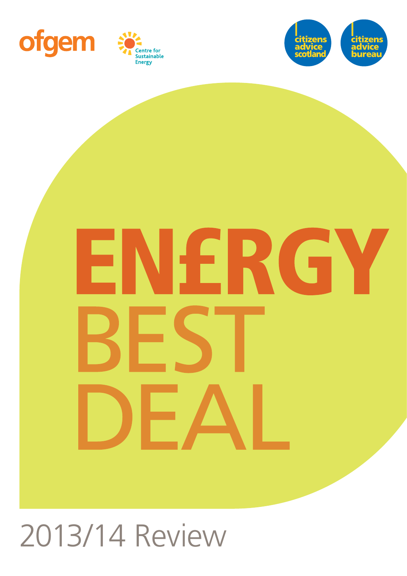





# IFRGY

2013/14 Review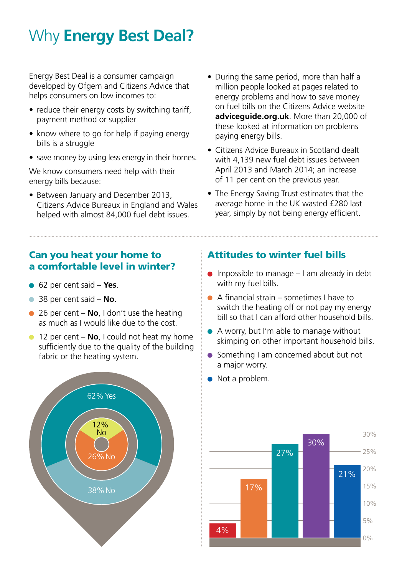# Why **Energy Best Deal?**

Energy Best Deal is a consumer campaign developed by Ofgem and Citizens Advice that helps consumers on low incomes to:

- reduce their energy costs by switching tariff, payment method or supplier
- know where to go for help if paying energy bills is a struggle
- save money by using less energy in their homes.

We know consumers need help with their energy bills because:

- Between January and December 2013, Citizens Advice Bureaux in England and Wales helped with almost 84,000 fuel debt issues.
- During the same period, more than half a million people looked at pages related to energy problems and how to save money on fuel bills on the Citizens Advice website **adviceguide.org.uk**. More than 20,000 of these looked at information on problems paying energy bills.
- Citizens Advice Bureaux in Scotland dealt with 4,139 new fuel debt issues between April 2013 and March 2014; an increase of 11 per cent on the previous year.
- The Energy Saving Trust estimates that the average home in the UK wasted £280 last year, simply by not being energy efficient.

### Can you heat your home to a comfortable level in winter?

- 62 per cent said **Yes**.
- 38 per cent said **No**.
- 26 per cent **No**, I don't use the heating as much as I would like due to the cost.
- **12 per cent No**, I could not heat my home sufficiently due to the quality of the building fabric or the heating system.



### Attitudes to winter fuel bills

- $\bullet$  Impossible to manage  $-1$  am already in debt with my fuel bills.
- $\bullet$  A financial strain sometimes I have to switch the heating off or not pay my energy bill so that I can afford other household bills.
- A worry, but I'm able to manage without skimping on other important household bills.
- Something I am concerned about but not a major worry.
- Not a problem.

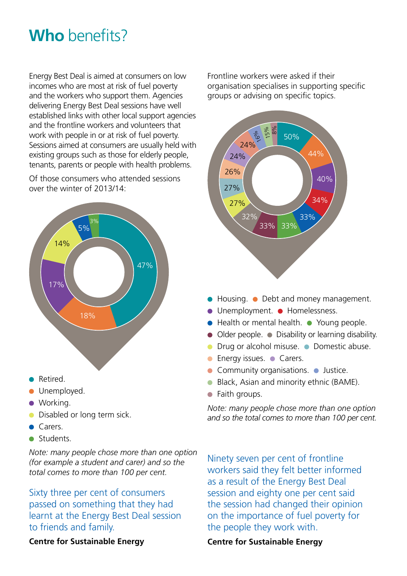# **Who** benefits?

Energy Best Deal is aimed at consumers on low incomes who are most at risk of fuel poverty and the workers who support them. Agencies delivering Energy Best Deal sessions have well established links with other local support agencies and the frontline workers and volunteers that work with people in or at risk of fuel poverty. Sessions aimed at consumers are usually held with existing groups such as those for elderly people. tenants, parents or people with health problems.

Of those consumers who attended sessions over the winter of 2013/14:



- Retired.
- **Unemployed.**
- Working.
- **Disabled or long term sick.**
- Carers.
- **Students.**

*Note: many people chose more than one option (for example a student and carer) and so the total comes to more than 100 per cent.*

Sixty three per cent of consumers passed on something that they had learnt at the Energy Best Deal session to friends and family.

Frontline workers were asked if their organisation specialises in supporting specific groups or advising on specific topics.



- $\bullet$  Housing.  $\bullet$  Debt and money management.
- Unemployment. Homelessness.
- Health or mental health. Young people.
- Older people. Disability or learning disability.
- **O** Drug or alcohol misuse. **O** Domestic abuse.
- $\bullet$  Energy issues.  $\bullet$  Carers.
- Community organisations. Justice.
- Black, Asian and minority ethnic (BAME).
- Faith groups.

*Note: many people chose more than one option and so the total comes to more than 100 per cent.*

Ninety seven per cent of frontline workers said they felt better informed as a result of the Energy Best Deal session and eighty one per cent said the session had changed their opinion on the importance of fuel poverty for the people they work with.

**Centre for Sustainable Energy**

### **Centre for Sustainable Energy**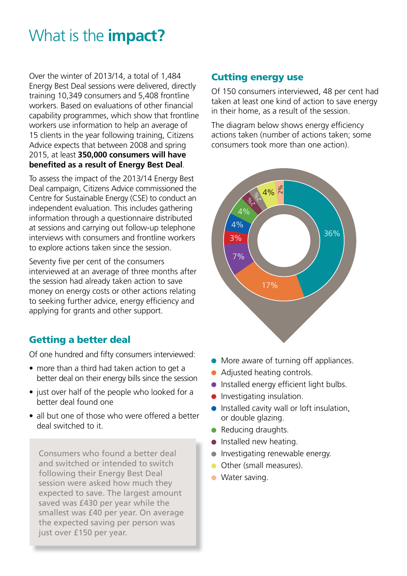# What is the **impact?**

Over the winter of 2013/14, a total of 1,484 Energy Best Deal sessions were delivered, directly training 10,349 consumers and 5,408 frontline workers. Based on evaluations of other financial capability programmes, which show that frontline workers use information to help an average of 15 clients in the year following training, Citizens Advice expects that between 2008 and spring 2015, at least **350,000 consumers will have benefited as a result of Energy Best Deal**.

To assess the impact of the 2013/14 Energy Best Deal campaign, Citizens Advice commissioned the Centre for Sustainable Energy (CSE) to conduct an independent evaluation. This includes gathering information through a questionnaire distributed at sessions and carrying out follow-up telephone interviews with consumers and frontline workers to explore actions taken since the session.

Seventy five per cent of the consumers interviewed at an average of three months after the session had already taken action to save money on energy costs or other actions relating to seeking further advice, energy efficiency and applying for grants and other support.

### Getting a better deal

Of one hundred and fifty consumers interviewed:

- more than a third had taken action to get a better deal on their energy bills since the session
- just over half of the people who looked for a better deal found one
- all but one of those who were offered a better deal switched to it.

Consumers who found a better deal and switched or intended to switch following their Energy Best Deal session were asked how much they expected to save. The largest amount saved was £430 per year while the smallest was £40 per year. On average the expected saving per person was just over £150 per year.

### Cutting energy use

Of 150 consumers interviewed, 48 per cent had taken at least one kind of action to save energy in their home, as a result of the session.

The diagram below shows energy efficiency actions taken (number of actions taken; some consumers took more than one action).



- More aware of turning off appliances.
- Adjusted heating controls.
- **Installed energy efficient light bulbs.**
- **Investigating insulation.**
- **Installed cavity wall or loft insulation,** or double glazing.
- Reducing draughts.
- $\bullet$  Installed new heating.
- **Investigating renewable energy.**
- Other (small measures).
- Water saving.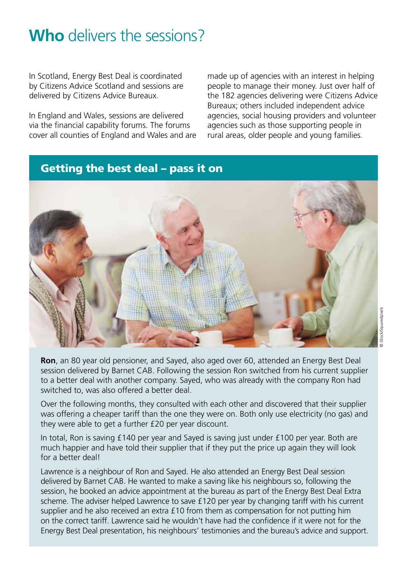# **Who** delivers the sessions?

In Scotland, Energy Best Deal is coordinated by Citizens Advice Scotland and sessions are delivered by Citizens Advice Bureaux.

In England and Wales, sessions are delivered via the financial capability forums. The forums cover all counties of England and Wales and are made up of agencies with an interest in helping people to manage their money. Just over half of the 182 agencies delivering were Citizens Advice Bureaux; others included independent advice agencies, social housing providers and volunteer agencies such as those supporting people in rural areas, older people and young families.

### Getting the best deal – pass it on



**Ron**, an 80 year old pensioner, and Sayed, also aged over 60, attended an Energy Best Deal session delivered by Barnet CAB. Following the session Ron switched from his current supplier to a better deal with another company. Sayed, who was already with the company Ron had switched to, was also offered a better deal.

Over the following months, they consulted with each other and discovered that their supplier was offering a cheaper tariff than the one they were on. Both only use electricity (no gas) and they were able to get a further £20 per year discount.

In total, Ron is saving £140 per year and Sayed is saving just under £100 per year. Both are much happier and have told their supplier that if they put the price up again they will look for a better deal!

Lawrence is a neighbour of Ron and Sayed. He also attended an Energy Best Deal session delivered by Barnet CAB. He wanted to make a saving like his neighbours so, following the session, he booked an advice appointment at the bureau as part of the Energy Best Deal Extra scheme. The adviser helped Lawrence to save £120 per year by changing tariff with his current supplier and he also received an extra £10 from them as compensation for not putting him on the correct tariff. Lawrence said he wouldn't have had the confidence if it were not for the Energy Best Deal presentation, his neighbours' testimonies and the bureau's advice and support.